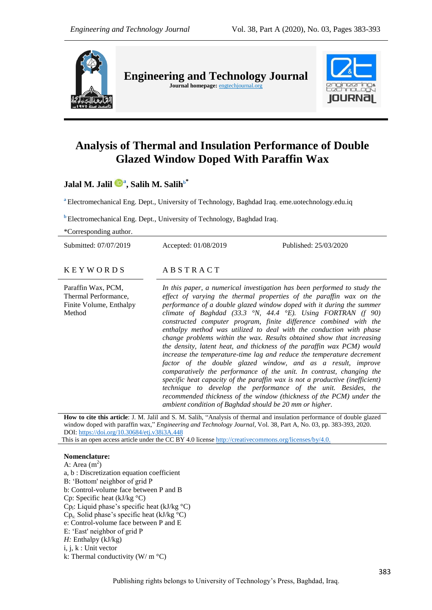

**Engineering and Technology Journal**  Journal homepage: **engtechjournal.org** 



# **Analysis of Thermal and Insulation Performance of Double Glazed Window Doped With Paraffin Wax**

**Jalal M. Jalil <sup>a</sup> , Salih M. Salih<sup>b</sup>\***

**<sup>a</sup>** Electromechanical Eng. Dept., University of Technology, Baghdad Iraq. eme.uotechnology.edu.iq

**b** Electromechanical Eng. Dept., University of Technology, Baghdad Iraq.

\*Corresponding author.

Submitted: 07/07/2019 Accepted: 01/08/2019 Published: 25/03/2020

#### $K$  E Y W O R D S A B S T R A C T

Paraffin Wax, PCM, Thermal Performance, Finite Volume, Enthalpy Method

*In this paper, a numerical investigation has been performed to study the effect of varying the thermal properties of the paraffin wax on the performance of a double glazed window doped with it during the summer climate of Baghdad (33.3 °N, 44.4 °E). Using FORTRAN (f 90) constructed computer program, finite difference combined with the enthalpy method was utilized to deal with the conduction with phase change problems within the wax. Results obtained show that increasing the density, latent heat, and thickness of the paraffin wax PCM) would increase the temperature-time lag and reduce the temperature decrement factor of the double glazed window, and as a result, improve comparatively the performance of the unit. In contrast, changing the specific heat capacity of the paraffin wax is not a productive (inefficient) technique to develop the performance of the unit. Besides, the recommended thickness of the window (thickness of the PCM) under the ambient condition of Baghdad should be 20 mm or higher.*

**How to cite this article**: J. M. Jalil and S. M. Salih, "Analysis of thermal and insulation performance of double glazed window doped with paraffin wax," *Engineering and Technology Journal*, Vol. 38, Part A, No. 03, pp. 383-393, 2020. DOI: <https://doi.org/10.30684/etj.v38i3A.448>

This is an open access article under the CC BY 4.0 licens[e http://creativecommons.org/licenses/by/4.0.](http://creativecommons.org/licenses/by/4.0)

## **Nomenclature:**

A: Area  $(m<sup>2</sup>)$ a, b : Discretization equation coefficient B: "Bottom' neighbor of grid P b: Control-volume face between P and B Cp: Specific heat (kJ/kg °C) Cp<sub>1</sub>: Liquid phase's specific heat (kJ/kg  $\rm{^{\circ}C}$ )  $Cp_s$ : Solid phase's specific heat (kJ/kg  $\rm{^{\circ}C}$ ) e: Control-volume face between P and E E: "East' neighbor of grid P *H:* Enthalpy (kJ/kg) i, j, k : Unit vector k: Thermal conductivity  $(W/m °C)$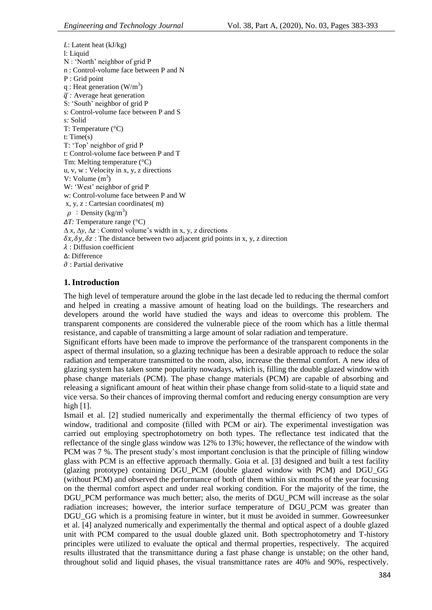*L*: Latent heat (kJ/kg) l: Liquid N : 'North' neighbor of grid P n : Control-volume face between P and N P : Grid point q : Heat generation  $(W/m^3)$  $\overline{q}$ : Average heat generation S: 'South' neighbor of grid P s: Control-volume face between P and S *s:* Solid T: Temperature (°C) t: Time(s) T: 'Top' neighbor of grid P t: Control-volume face between P and T Tm: Melting temperature (°C) u, v, w : Velocity in x, y, z directions V: Volume  $(m^3)$ W: 'West' neighbor of grid P w: Control-volume face between P and W x, y, z : Cartesian coordinates( m)  $\rho$ : Density (kg/m<sup>3</sup>) *∆T:* Temperature range (°C) ∆ *x*, ∆*y*, ∆*z* : Control volume"s width in x, y, z directions  $\delta x$ ,  $\delta y$ ,  $\delta z$ : The distance between two adjacent grid points in x, y, z direction  $\lambda$ : Diffusion coefficient ∆: Difference  $\partial$ : Partial derivative

## **1.Introduction**

The high level of temperature around the globe in the last decade led to reducing the thermal comfort and helped in creating a massive amount of heating load on the buildings. The researchers and developers around the world have studied the ways and ideas to overcome this problem. The transparent components are considered the vulnerable piece of the room which has a little thermal resistance, and capable of transmitting a large amount of solar radiation and temperature.

Significant efforts have been made to improve the performance of the transparent components in the aspect of thermal insulation, so a glazing technique has been a desirable approach to reduce the solar radiation and temperature transmitted to the room, also, increase the thermal comfort. A new idea of glazing system has taken some popularity nowadays, which is, filling the double glazed window with phase change materials (PCM). The phase change materials (PCM) are capable of absorbing and releasing a significant amount of heat within their phase change from solid-state to a liquid state and vice versa. So their chances of improving thermal comfort and reducing energy consumption are very high  $[1]$ .

Ismail et al. [2] studied numerically and experimentally the thermal efficiency of two types of window, traditional and composite (filled with PCM or air). The experimental investigation was carried out employing spectrophotometry on both types. The reflectance test indicated that the reflectance of the single glass window was 12% to 13%; however, the reflectance of the window with PCM was 7 %. The present study"s most important conclusion is that the principle of filling window glass with PCM is an effective approach thermally. Goia et al. [3] designed and built a test facility (glazing prototype) containing DGU\_PCM (double glazed window with PCM) and DGU\_GG (without PCM) and observed the performance of both of them within six months of the year focusing on the thermal comfort aspect and under real working condition. For the majority of the time, the DGU\_PCM performance was much better; also, the merits of DGU\_PCM will increase as the solar radiation increases; however, the interior surface temperature of DGU\_PCM was greater than DGU GG which is a promising feature in winter, but it must be avoided in summer. Gowreesunker et al. [4] analyzed numerically and experimentally the thermal and optical aspect of a double glazed unit with PCM compared to the usual double glazed unit. Both spectrophotometry and T-history principles were utilized to evaluate the optical and thermal properties, respectively. The acquired results illustrated that the transmittance during a fast phase change is unstable; on the other hand, throughout solid and liquid phases, the visual transmittance rates are 40% and 90%, respectively.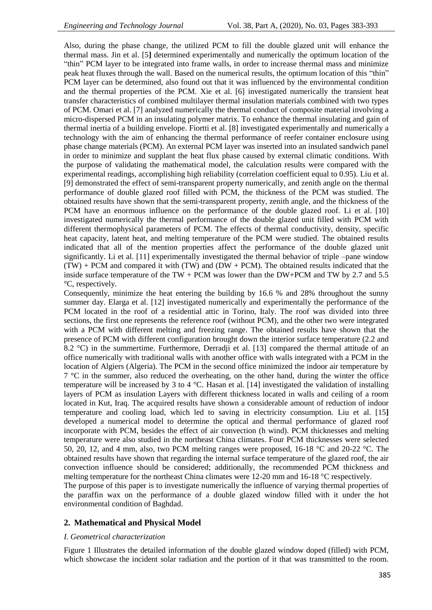Also, during the phase change, the utilized PCM to fill the double glazed unit will enhance the thermal mass. Jin et al. [5**]** determined experimentally and numerically the optimum location of the "thin" PCM layer to be integrated into frame walls, in order to increase thermal mass and minimize peak heat fluxes through the wall. Based on the numerical results, the optimum location of this "thin" PCM layer can be determined, also found out that it was influenced by the environmental condition and the thermal properties of the PCM. Xie et al. [6] investigated numerically the transient heat transfer characteristics of combined multilayer thermal insulation materials combined with two types of PCM. Omari et al. [7] analyzed numerically the thermal conduct of composite material involving a micro-dispersed PCM in an insulating polymer matrix. To enhance the thermal insulating and gain of thermal inertia of a building envelope. Fiortti et al. [8] investigated experimentally and numerically a technology with the aim of enhancing the thermal performance of reefer container enclosure using phase change materials (PCM). An external PCM layer was inserted into an insulated sandwich panel in order to minimize and supplant the heat flux phase caused by external climatic conditions. With the purpose of validating the mathematical model, the calculation results were compared with the experimental readings, accomplishing high reliability (correlation coefficient equal to 0.95). Liu et al. [9] demonstrated the effect of semi-transparent property numerically, and zenith angle on the thermal performance of double glazed roof filled with PCM, the thickness of the PCM was studied. The obtained results have shown that the semi-transparent property, zenith angle, and the thickness of the PCM have an enormous influence on the performance of the double glazed roof. Li et al. [10] investigated numerically the thermal performance of the double glazed unit filled with PCM with different thermophysical parameters of PCM. The effects of thermal conductivity, density, specific heat capacity, latent heat, and melting temperature of the PCM were studied. The obtained results indicated that all of the mention properties affect the performance of the double glazed unit significantly. Li et al. [11] experimentally investigated the thermal behavior of triple –pane window  $(TW)$  + PCM and compared it with  $(TW)$  and  $(DW + PCM)$ . The obtained results indicated that the inside surface temperature of the TW + PCM was lower than the DW+PCM and TW by 2.7 and 5.5 °C, respectively.

Consequently, minimize the heat entering the building by 16.6 % and 28% throughout the sunny summer day. Elarga et al. [12] investigated numerically and experimentally the performance of the PCM located in the roof of a residential attic in Torino, Italy. The roof was divided into three sections, the first one represents the reference roof (without PCM), and the other two were integrated with a PCM with different melting and freezing range. The obtained results have shown that the presence of PCM with different configuration brought down the interior surface temperature (2.2 and 8.2 °C) in the summertime. Furthermore, Derradji et al. [13] compared the thermal attitude of an office numerically with traditional walls with another office with walls integrated with a PCM in the location of Algiers (Algeria). The PCM in the second office minimized the indoor air temperature by 7 °C in the summer, also reduced the overheating, on the other hand, during the winter the office temperature will be increased by 3 to 4 °C. Hasan et al. [14] investigated the validation of installing layers of PCM as insulation Layers with different thickness located in walls and ceiling of a room located in Kut, Iraq. The acquired results have shown a considerable amount of reduction of indoor temperature and cooling load, which led to saving in electricity consumption. Liu et al. [15**]**  developed a numerical model to determine the optical and thermal performance of glazed roof incorporate with PCM, besides the effect of air convection (h wind). PCM thicknesses and melting temperature were also studied in the northeast China climates. Four PCM thicknesses were selected 50, 20, 12, and 4 mm, also, two PCM melting ranges were proposed, 16-18 °C and 20-22 °C. The obtained results have shown that regarding the internal surface temperature of the glazed roof, the air convection influence should be considered; additionally, the recommended PCM thickness and melting temperature for the northeast China climates were 12-20 mm and 16-18 °C respectively.

The purpose of this paper is to investigate numerically the influence of varying thermal properties of the paraffin wax on the performance of a double glazed window filled with it under the hot environmental condition of Baghdad.

## **2. Mathematical and Physical Model**

#### *I. Geometrical characterization*

Figure 1 Illustrates the detailed information of the double glazed window doped (filled) with PCM, which showcase the incident solar radiation and the portion of it that was transmitted to the room.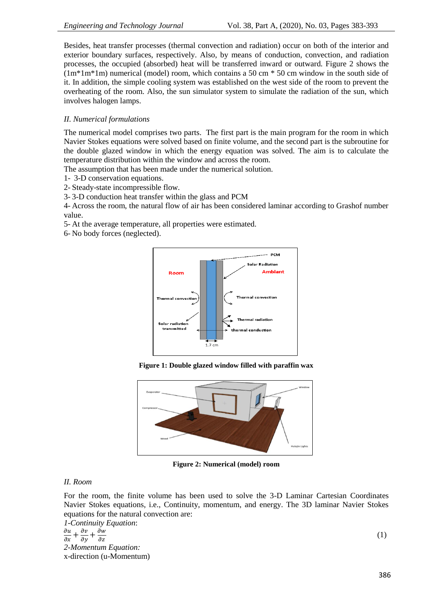Besides, heat transfer processes (thermal convection and radiation) occur on both of the interior and exterior boundary surfaces, respectively. Also, by means of conduction, convection, and radiation processes, the occupied (absorbed) heat will be transferred inward or outward. Figure 2 shows the  $(1m*1m*1m)$  numerical (model) room, which contains a 50 cm  $*$  50 cm window in the south side of it. In addition, the simple cooling system was established on the west side of the room to prevent the overheating of the room. Also, the sun simulator system to simulate the radiation of the sun, which involves halogen lamps.

## *II. Numerical formulations*

The numerical model comprises two parts. The first part is the main program for the room in which Navier Stokes equations were solved based on finite volume, and the second part is the subroutine for the double glazed window in which the energy equation was solved. The aim is to calculate the temperature distribution within the window and across the room.

The assumption that has been made under the numerical solution.

1- 3-D conservation equations.

2- Steady-state incompressible flow.

3- 3-D conduction heat transfer within the glass and PCM

4- Across the room, the natural flow of air has been considered laminar according to Grashof number value.

5- At the average temperature, all properties were estimated.

6- No body forces (neglected).



**Figure 1: Double glazed window filled with paraffin wax**



**Figure 2: Numerical (model) room**

## *II. Room*

For the room, the finite volume has been used to solve the 3-D Laminar Cartesian Coordinates Navier Stokes equations, i.e., Continuity, momentum, and energy. The 3D laminar Navier Stokes equations for the natural convection are:

*1-Continuity Equation*:  $\partial$  $\partial$  $\partial$ д д  $rac{ow}{dz}$  (1) *2-Momentum Equation:*  x-direction (u-Momentum)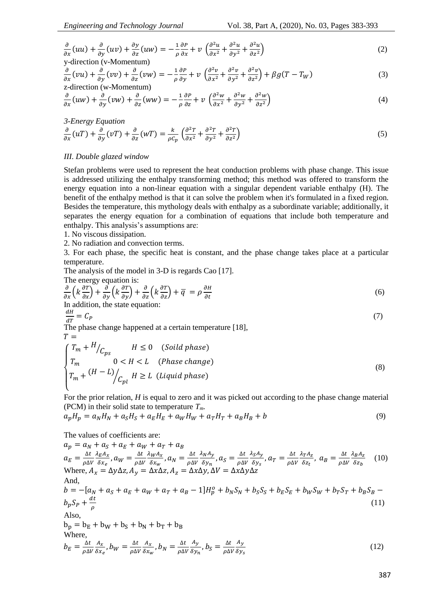$$
\frac{\partial}{\partial x}(uu) + \frac{\partial}{\partial y}(uv) + \frac{\partial y}{\partial z}(uw) = -\frac{1}{\rho}\frac{\partial P}{\partial x} + v\left(\frac{\partial^2 u}{\partial x^2} + \frac{\partial^2 u}{\partial y^2} + \frac{\partial^2 u}{\partial z^2}\right)
$$
\ny-direction (v-Momentum)

$$
\frac{\partial}{\partial x}(vu) + \frac{\partial}{\partial y}(vv) + \frac{\partial}{\partial z}(vw) = -\frac{1}{\rho}\frac{\partial P}{\partial y} + v\left(\frac{\partial^2 v}{\partial x^2} + \frac{\partial^2 v}{\partial y^2} + \frac{\partial^2 v}{\partial z^2}\right) + \beta g(T - T_W)
$$
\n(3)

$$
\frac{\partial}{\partial x}(uw) + \frac{\partial}{\partial y}(vw) + \frac{\partial}{\partial z}(ww) = -\frac{1}{\rho}\frac{\partial P}{\partial z} + v\left(\frac{\partial^2 w}{\partial x^2} + \frac{\partial^2 w}{\partial y^2} + \frac{\partial^2 w}{\partial z^2}\right)
$$
(4)

$$
3\text{-Energy Equation}
$$
  
\n
$$
\frac{\partial}{\partial x}(uT) + \frac{\partial}{\partial y}(vT) + \frac{\partial}{\partial z}(wT) = \frac{k}{\rho c_p} \left(\frac{\partial^2 T}{\partial x^2} + \frac{\partial^2 T}{\partial y^2} + \frac{\partial^2 T}{\partial z^2}\right)
$$
\n(5)

#### *III. Double glazed window*

Stefan problems were used to represent the heat conduction problems with phase change. This issue is addressed utilizing the enthalpy transforming method; this method was offered to transform the energy equation into a non-linear equation with a singular dependent variable enthalpy (H). The benefit of the enthalpy method is that it can solve the problem when it's formulated in a fixed region. Besides the temperature, this mythology deals with enthalpy as a subordinate variable; additionally, it separates the energy equation for a combination of equations that include both temperature and enthalpy. This analysis's assumptions are:

1. No viscous dissipation.

2. No radiation and convection terms.

3. For each phase, the specific heat is constant, and the phase change takes place at a particular temperature.

The analysis of the model in 3-D is regards Cao [17].

The energy equation is:

$$
\frac{\partial}{\partial x}\left(k\frac{\partial T}{\partial x}\right) + \frac{\partial}{\partial y}\left(k\frac{\partial T}{\partial y}\right) + \frac{\partial}{\partial z}\left(k\frac{\partial T}{\partial z}\right) + \overline{q} = \rho \frac{\partial H}{\partial t}
$$
\nIn addition, the state equation: (6)

$$
\stackrel{dH}{=}
$$

d  $=C_P$  (7) The phase change happened at a certain temperature [18],

$$
T =
$$

$$
\begin{cases}\nT_m + H/C_{ps} & H \le 0 \quad (Soild phase) \\
T_m & 0 < H < L \quad (Phase change) \\
T_m + (H - L)/_{Cpl} & H \ge L \quad (Liquid phase)\n\end{cases}
$$
\n(8)

For the prior relation, *H* is equal to zero and it was picked out according to the phase change material (PCM) in their solid state to temperature *Tm.*

$$
a_p H_p = a_N H_N + a_S H_S + a_E H_E + a_W H_W + a_T H_T + a_B H_B + b \tag{9}
$$

The values of coefficients are:

 $a_p = a_N + a_S + a_E + a_W + a_T + a_B$  $a_E = \frac{\Delta}{\Delta}$  $\rho$ λ  $\frac{\lambda_E A_\chi}{\delta x_e}$  ,  $a_W = \frac{\Delta}{\rho \Delta}$  $\rho$ λ  $\frac{\partial_{l_{W}}A_{x}}{\partial x_{w}}$  ,  $a_{N}=\frac{\Delta}{\rho R}$  $\rho$ λ  $\frac{\partial_{N}A_{\mathcal{Y}}}{\partial \mathcal{Y}_{n}}$  ,  $a_{S}=\frac{\Delta}{\rho R}$  $\rho$ λ  $\frac{\partial_{\mathcal{S}} A_{\mathcal{Y}}}{\partial_{\mathcal{Y}_{\mathcal{S}}}}$  ,  $a_{T}=\frac{\Delta}{\rho R}$  $\rho$ λ  $\frac{\partial_{T}A_{Z}}{\partial z_{t}}$ ,  $a_{B}=\frac{\Delta}{\rho R}$  $\rho$ λ  $\frac{\kappa_B A_Z}{\delta z_b}$  (10) Where,  $A_x = \Delta y \Delta z$ ,  $A_y = \Delta x \Delta z$ ,  $A_z = \Delta x \Delta y$ ,  $\Delta V = \Delta x \Delta y \Delta z$ And,  $b = -[a_N + a_S + a_E + a_W + a_T + a_B - 1]H_p^o$  $b_p S_p + \frac{d}{2}$  $\rho$  (11) Also,  $b_p = b_E + b_W + b_S + b_N + b_T + b_B$ Where,  $b_E = \frac{\Delta}{\Delta}$  $\rho$  $\overline{A}$  $\frac{A_{x}}{\delta x_{e}}$ ,  $b_{W}=\frac{\Delta}{\rho R}$  $\rho$  $\overline{A}$  $\frac{A_{\chi}}{\delta x_{w}}$  ,  $b_{N}=\frac{\Delta}{\rho R}$  $\rho$  $\overline{A}$  $\frac{A_{\mathcal{Y}}}{\delta \mathcal{Y}_n}$  ,  $b_{\mathcal{S}} = \frac{\Delta}{\rho \Delta}$  $\rho$  $\overline{A}$ δ  $(12)$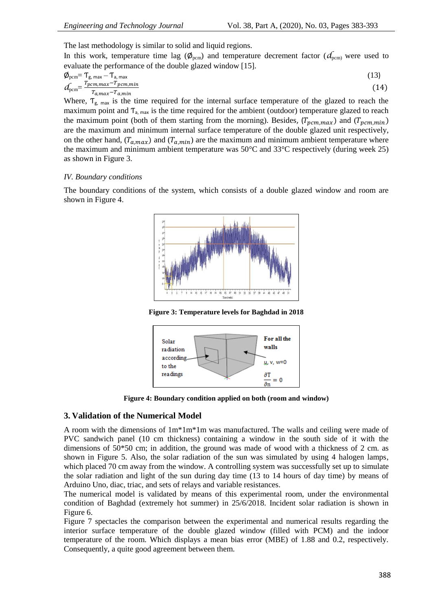The last methodology is similar to solid and liquid regions.

In this work, temperature time lag ( $\phi_{\text{pcm}}$ ) and temperature decrement factor ( $d_{\text{pcm}}$ ) were used to evaluate the performance of the double glazed window [15].

$$
\phi_{\text{perm}} = T_{\text{g, max}} - T_{\text{a, max}} \tag{13}
$$
\n
$$
d_{\text{perm}} = \frac{T_{\text{perm,max}} - T_{\text{perm,min}}}{T_{\text{a, max}} - T_{\text{a,min}}} \tag{14}
$$

Where,  $T_{g_{\text{max}}}$  is the time required for the internal surface temperature of the glazed to reach the maximum point and  $T_{a, max}$  is the time required for the ambient (outdoor) temperature glazed to reach the maximum point (both of them starting from the morning). Besides,  $(T_{pcm,max})$  and  $(T_{pcm,min})$ are the maximum and minimum internal surface temperature of the double glazed unit respectively, on the other hand,  $(T_{a,max})$  and  $(T_{a,min})$  are the maximum and minimum ambient temperature where the maximum and minimum ambient temperature was 50°C and 33°C respectively (during week 25) as shown in Figure 3.

#### *IV. Boundary conditions*

The boundary conditions of the system, which consists of a double glazed window and room are shown in Figure 4.



**Figure 3: Temperature levels for Baghdad in 2018**



**Figure 4: Boundary condition applied on both (room and window)**

## **3. Validation of the Numerical Model**

A room with the dimensions of 1m\*1m\*1m was manufactured. The walls and ceiling were made of PVC sandwich panel (10 cm thickness) containing a window in the south side of it with the dimensions of  $50*50$  cm; in addition, the ground was made of wood with a thickness of 2 cm. as shown in Figure 5. Also, the solar radiation of the sun was simulated by using 4 halogen lamps, which placed 70 cm away from the window. A controlling system was successfully set up to simulate the solar radiation and light of the sun during day time (13 to 14 hours of day time) by means of Arduino Uno, diac, triac, and sets of relays and variable resistances.

The numerical model is validated by means of this experimental room, under the environmental condition of Baghdad (extremely hot summer) in 25/6/2018. Incident solar radiation is shown in Figure 6.

Figure 7 spectacles the comparison between the experimental and numerical results regarding the interior surface temperature of the double glazed window (filled with PCM) and the indoor temperature of the room. Which displays a mean bias error (MBE) of 1.88 and 0.2, respectively. Consequently, a quite good agreement between them.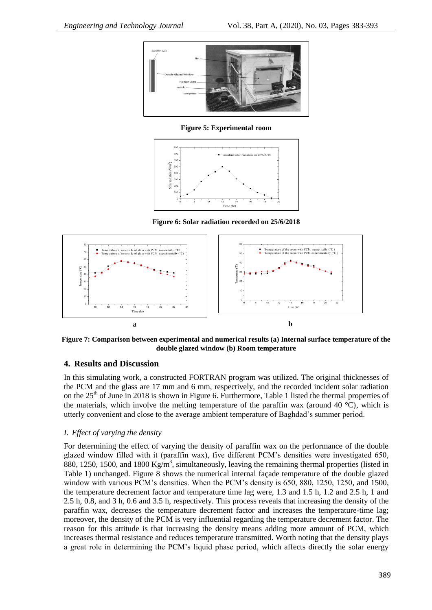

**Figure 5: Experimental room**



**Figure 6: Solar radiation recorded on 25/6/2018**



**Figure 7: Comparison between experimental and numerical results (a) Internal surface temperature of the double glazed window (b) Room temperature**

## **4. Results and Discussion**

In this simulating work, a constructed FORTRAN program was utilized. The original thicknesses of the PCM and the glass are 17 mm and 6 mm, respectively, and the recorded incident solar radiation on the  $25<sup>th</sup>$  of June in 2018 is shown in Figure 6. Furthermore, Table 1 listed the thermal properties of the materials, which involve the melting temperature of the paraffin wax (around 40  $^{\circ}$ C), which is utterly convenient and close to the average ambient temperature of Baghdad"s summer period.

#### *I. Effect of varying the density*

For determining the effect of varying the density of paraffin wax on the performance of the double glazed window filled with it (paraffin wax), five different PCM"s densities were investigated 650, 880, 1250, 1500, and 1800  $\text{Kg/m}^3$ , simultaneously, leaving the remaining thermal properties (listed in Table 1) unchanged. Figure 8 shows the numerical internal façade temperature of the double glazed window with various PCM's densities. When the PCM's density is 650, 880, 1250, 1250, and 1500, the temperature decrement factor and temperature time lag were, 1.3 and 1.5 h, 1.2 and 2.5 h, 1 and 2.5 h, 0.8, and 3 h, 0.6 and 3.5 h, respectively. This process reveals that increasing the density of the paraffin wax, decreases the temperature decrement factor and increases the temperature-time lag; moreover, the density of the PCM is very influential regarding the temperature decrement factor. The reason for this attitude is that increasing the density means adding more amount of PCM, which increases thermal resistance and reduces temperature transmitted. Worth noting that the density plays a great role in determining the PCM"s liquid phase period, which affects directly the solar energy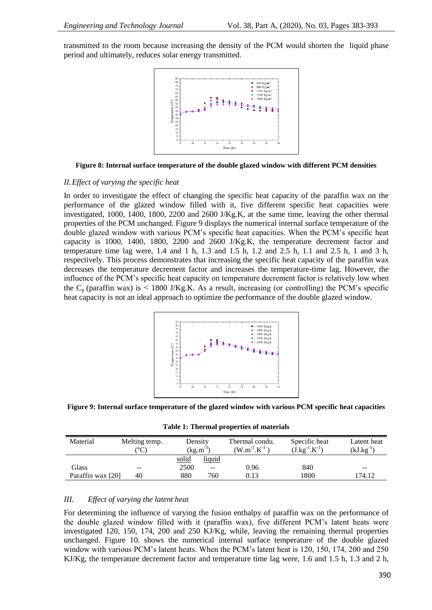transmitted to the room because increasing the density of the PCM would shorten the liquid phase period and ultimately, reduces solar energy transmitted.



**Figure 8: Internal surface temperature of the double glazed window with different PCM densities**

#### *II.Effect of varying the specific heat*

In order to investigate the effect of changing the specific heat capacity of the paraffin wax on the performance of the glazed window filled with it, five different specific heat capacities were investigated, 1000, 1400, 1800, 2200 and 2600 J/Kg.K, at the same time, leaving the other thermal properties of the PCM unchanged. Figure 9 displays the numerical internal surface temperature of the double glazed window with various PCM"s specific heat capacities. When the PCM"s specific heat capacity is 1000, 1400, 1800, 2200 and 2600 J/Kg.K, the temperature decrement factor and temperature time lag were, 1.4 and 1 h, 1.3 and 1.5 h, 1.2 and 2.5 h, 1.1 and 2.5 h, 1 and 3 h, respectively. This process demonstrates that increasing the specific heat capacity of the paraffin wax decreases the temperature decrement factor and increases the temperature-time lag. However, the influence of the PCM"s specific heat capacity on temperature decrement factor is relatively low when the  $C_p$  (paraffin wax) is  $\leq 1800$  J/Kg.K. As a result, increasing (or controlling) the PCM's specific heat capacity is not an ideal approach to optimize the performance of the double glazed window.



**Figure 9: Internal surface temperature of the glazed window with various PCM specific heat capacities**

**Table 1: Thermal properties of materials**

| Material          | Melting temp.<br>$^{\circ}$ C) | Density<br>$(kg.m^{-3})$ |               | Thermal condu.<br>$\rm W.m^{-1}.K^{-1}$ ) | Specific heat<br>$(J.kg^{-1}.K^{-1})$ | Latent heat<br>$(kJ.kg^{-1})$ |
|-------------------|--------------------------------|--------------------------|---------------|-------------------------------------------|---------------------------------------|-------------------------------|
|                   |                                | solid                    | <u>liquid</u> |                                           |                                       |                               |
| Glass             | $- -$                          | 2500                     | $- -$         | 0.96                                      | 840                                   | $- -$                         |
| Paraffin wax [20] | 40                             | 880                      | 760           | 0.13                                      | 1800                                  | 174.12                        |

#### *III. Effect of varying the latent heat*

For determining the influence of varying the fusion enthalpy of paraffin wax on the performance of the double glazed window filled with it (paraffin wax), five different PCM"s latent heats were investigated 120, 150, 174, 200 and 250 KJ/Kg, while, leaving the remaining thermal properties unchanged. Figure 10. shows the numerical internal surface temperature of the double glazed window with various PCM"s latent heats. When the PCM"s latent heat is 120, 150, 174, 200 and 250 KJ/Kg, the temperature decrement factor and temperature time lag were, 1.6 and 1.5 h, 1.3 and 2 h,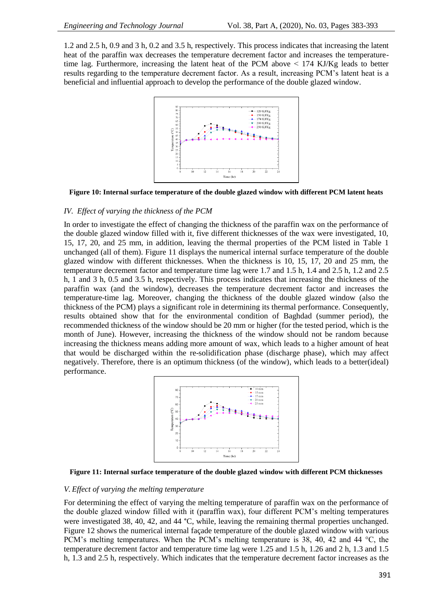1.2 and 2.5 h, 0.9 and 3 h, 0.2 and 3.5 h, respectively. This process indicates that increasing the latent heat of the paraffin wax decreases the temperature decrement factor and increases the temperaturetime lag. Furthermore, increasing the latent heat of the PCM above  $\leq$  174 KJ/Kg leads to better results regarding to the temperature decrement factor. As a result, increasing PCM"s latent heat is a beneficial and influential approach to develop the performance of the double glazed window.



**Figure 10: Internal surface temperature of the double glazed window with different PCM latent heats**

#### *IV. Effect of varying the thickness of the PCM*

In order to investigate the effect of changing the thickness of the paraffin wax on the performance of the double glazed window filled with it, five different thicknesses of the wax were investigated, 10, 15, 17, 20, and 25 mm, in addition, leaving the thermal properties of the PCM listed in Table 1 unchanged (all of them). Figure 11 displays the numerical internal surface temperature of the double glazed window with different thicknesses. When the thickness is 10, 15, 17, 20 and 25 mm, the temperature decrement factor and temperature time lag were 1.7 and 1.5 h, 1.4 and 2.5 h, 1.2 and 2.5 h, 1 and 3 h, 0.5 and 3.5 h, respectively. This process indicates that increasing the thickness of the paraffin wax (and the window), decreases the temperature decrement factor and increases the temperature-time lag. Moreover, changing the thickness of the double glazed window (also the thickness of the PCM) plays a significant role in determining its thermal performance. Consequently, results obtained show that for the environmental condition of Baghdad (summer period), the recommended thickness of the window should be 20 mm or higher (for the tested period, which is the month of June). However, increasing the thickness of the window should not be random because increasing the thickness means adding more amount of wax, which leads to a higher amount of heat that would be discharged within the re-solidification phase (discharge phase), which may affect negatively. Therefore, there is an optimum thickness (of the window), which leads to a better(ideal) performance.



**Figure 11: Internal surface temperature of the double glazed window with different PCM thicknesses**

#### *V. Effect of varying the melting temperature*

For determining the effect of varying the melting temperature of paraffin wax on the performance of the double glazed window filled with it (paraffin wax), four different PCM"s melting temperatures were investigated 38, 40, 42, and 44 °C, while, leaving the remaining thermal properties unchanged. Figure 12 shows the numerical internal façade temperature of the double glazed window with various PCM"s melting temperatures. When the PCM"s melting temperature is 38, 40, 42 and 44 °C, the temperature decrement factor and temperature time lag were 1.25 and 1.5 h, 1.26 and 2 h, 1.3 and 1.5 h, 1.3 and 2.5 h, respectively. Which indicates that the temperature decrement factor increases as the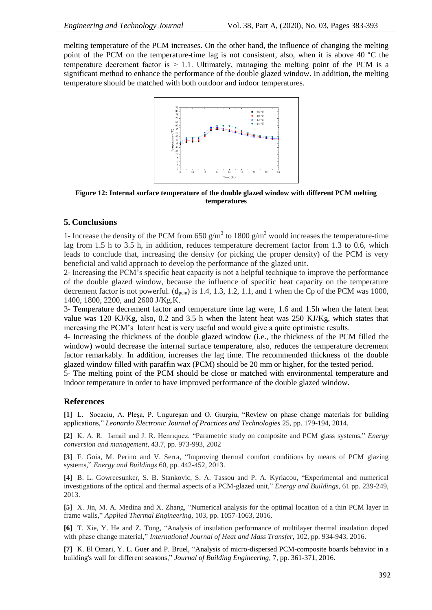melting temperature of the PCM increases. On the other hand, the influence of changing the melting point of the PCM on the temperature-time lag is not consistent, also, when it is above 40 °C the temperature decrement factor is  $> 1.1$ . Ultimately, managing the melting point of the PCM is a significant method to enhance the performance of the double glazed window. In addition, the melting temperature should be matched with both outdoor and indoor temperatures.



**Figure 12: Internal surface temperature of the double glazed window with different PCM melting temperatures**

#### **5. Conclusions**

1- Increase the density of the PCM from 650  $g/m<sup>3</sup>$  to 1800  $g/m<sup>3</sup>$  would increases the temperature-time lag from 1.5 h to 3.5 h, in addition, reduces temperature decrement factor from 1.3 to 0.6, which leads to conclude that, increasing the density (or picking the proper density) of the PCM is very beneficial and valid approach to develop the performance of the glazed unit.

2- Increasing the PCM"s specific heat capacity is not a helpful technique to improve the performance of the double glazed window, because the influence of specific heat capacity on the temperature decrement factor is not powerful.  $(d_{\text{perm}})$  is 1.4, 1.3, 1.2, 1.1, and 1 when the Cp of the PCM was 1000, 1400, 1800, 2200, and 2600 J/Kg.K.

3- Temperature decrement factor and temperature time lag were, 1.6 and 1.5h when the latent heat value was 120 KJ/Kg, also, 0.2 and 3.5 h when the latent heat was 250 KJ/Kg, which states that increasing the PCM"s latent heat is very useful and would give a quite optimistic results.

4- Increasing the thickness of the double glazed window (i.e., the thickness of the PCM filled the window) would decrease the internal surface temperature, also, reduces the temperature decrement factor remarkably. In addition, increases the lag time. The recommended thickness of the double glazed window filled with paraffin wax (PCM) should be 20 mm or higher, for the tested period.

5- The melting point of the PCM should be close or matched with environmental temperature and indoor temperature in order to have improved performance of the double glazed window.

## **References**

**[1]** L. Socaciu, A. Pleşa, P. Ungureşan and O. Giurgiu, "Review on phase change materials for building applications," *Leonardo Electronic Journal of Practices and Technologies* 25, pp. 179-194, 2014.

**[2]** K. A. R. Ismail and J. R. Henrıquez, "Parametric study on composite and PCM glass systems," *Energy conversion and management*, 43.7, pp. 973-993, 2002

**[3]** F. Goia, M. Perino and V. Serra, "Improving thermal comfort conditions by means of PCM glazing systems," *Energy and Buildings* 60, pp. 442-452, 2013.

**[4]** B. L. Gowreesunker, S. B. Stankovic, S. A. Tassou and P. A. Kyriacou, "Experimental and numerical investigations of the optical and thermal aspects of a PCM-glazed unit," *Energy and Buildings*, 61 pp. 239-249, 2013.

**[5]** X. Jin, M. A. Medina and X. Zhang, "Numerical analysis for the optimal location of a thin PCM layer in frame walls," *Applied Thermal Engineering,* 103, pp. 1057-1063, 2016.

**[6]** T. Xie, Y. He and Z. Tong, "Analysis of insulation performance of multilayer thermal insulation doped with phase change material," *International Journal of Heat and Mass Transfer,* 102, pp. 934-943, 2016.

**[7]** K. El Omari, Y. L. Guer and P. Bruel, "Analysis of micro-dispersed PCM-composite boards behavior in a building's wall for different seasons," *Journal of Building Engineering,* 7, pp. 361-371, 2016.